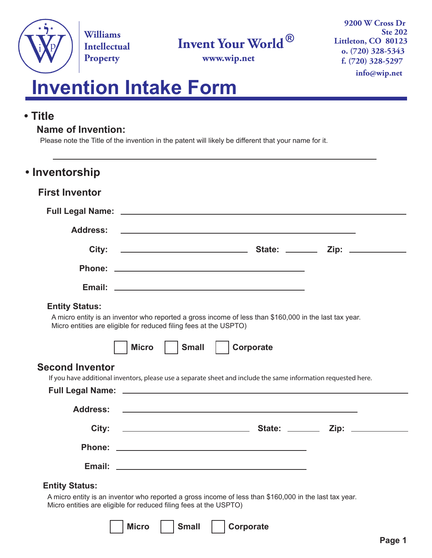

**Williams Intellectual** 

# **Invent Your World ®**

**Property o.** (720) 328-5343<br> **Property o.** (720) 328-5343 **f. (720) 328-5297 info@wip.net 9200 W Cross Dr Ste 202 Littleton, CO 80123**

# **Invention Intake Form**

## **• Title**

### **Name of Invention:**

Please note the Title of the invention in the patent will likely be different that your name for it.

| <b>First Inventor</b>  |                                                                                                                      |
|------------------------|----------------------------------------------------------------------------------------------------------------------|
|                        |                                                                                                                      |
| <b>Address:</b>        | <u> 1989 - Andrea Santa Andrea Santa Andrea Santa Andrea Santa Andrea Santa Andrea Santa Andrea Santa Andrea San</u> |
| City:                  |                                                                                                                      |
|                        |                                                                                                                      |
|                        |                                                                                                                      |
| <b>Entity Status:</b>  | A micro entity is an inventor who reported a gross income of less than \$160,000 in the last tax year.               |
|                        | Micro entities are eligible for reduced filing fees at the USPTO)                                                    |
|                        | Corporate<br><b>Small</b><br><b>Micro</b>                                                                            |
|                        | If you have additional inventors, please use a separate sheet and include the same information requested here.       |
| <b>Second Inventor</b> |                                                                                                                      |
| <b>Address:</b>        | <u> 1989 - Johann Stoff, amerikansk politiker (* 1908)</u>                                                           |
|                        |                                                                                                                      |
|                        |                                                                                                                      |
|                        |                                                                                                                      |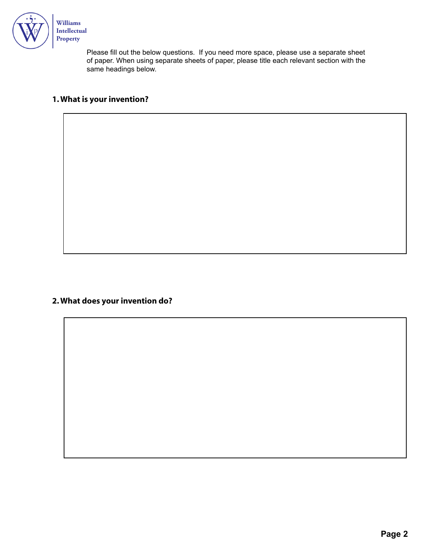

**Intellectual** 

Please fill out the below questions. If you need more space, please use a separate sheet of paper. When using separate sheets of paper, please title each relevant section with the same headings below.

#### **1.What is your invention?**

#### **2.What does your invention do?**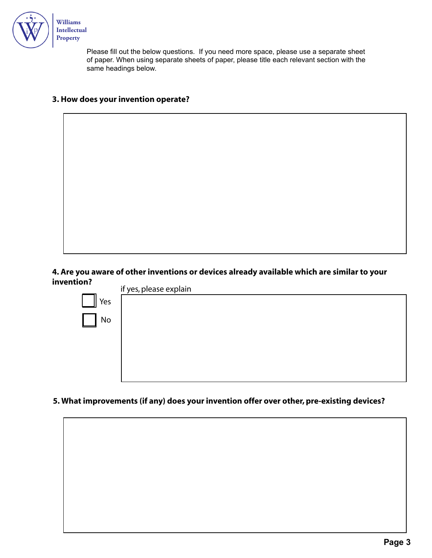

Please fill out the below questions. If you need more space, please use a separate sheet of paper. When using separate sheets of paper, please title each relevant section with the same headings below.

#### **3. How does your invention operate?**

**4. Are you aware of other inventions or devices already available which are similar to your invention?**



**5. What improvements (if any) does your invention offer over other, pre-existing devices?**